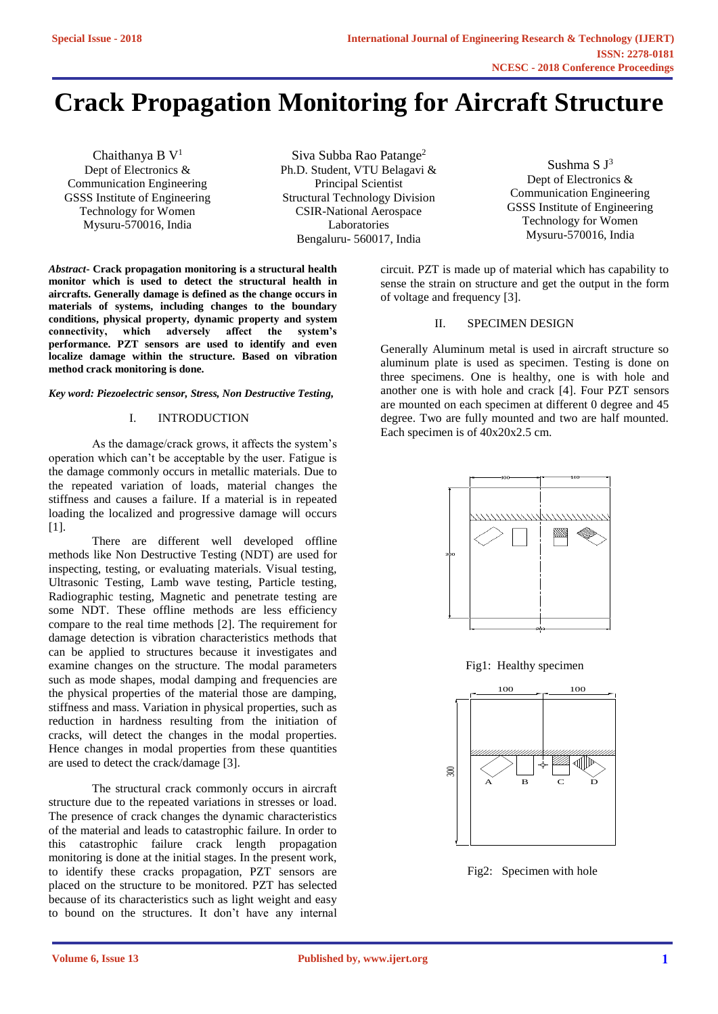# **Crack Propagation Monitoring for Aircraft Structure**

Chaithanya B V<sup>1</sup> Dept of Electronics & Communication Engineering GSSS Institute of Engineering Technology for Women Mysuru-570016, India

Siva Subba Rao Patange<sup>2</sup> Ph.D. Student, VTU Belagavi & Principal Scientist Structural Technology Division CSIR-National Aerospace Laboratories Bengaluru- 560017, India

Sushma S J<sup>3</sup> Dept of Electronics & Communication Engineering GSSS Institute of Engineering Technology for Women Mysuru-570016, India

circuit. PZT is made up of material which has capability to sense the strain on structure and get the output in the form of voltage and frequency [3].

# II. SPECIMEN DESIGN

Generally Aluminum metal is used in aircraft structure so aluminum plate is used as specimen. Testing is done on three specimens. One is healthy, one is with hole and another one is with hole and crack [4]. Four PZT sensors are mounted on each specimen at different 0 degree and 45 degree. Two are fully mounted and two are half mounted. Each specimen is of 40x20x2.5 cm.



Fig1: Healthy specimen



Fig2: Specimen with hole

*Abstract***- Crack propagation monitoring is a structural health monitor which is used to detect the structural health in aircrafts. Generally damage is defined as the change occurs in materials of systems, including changes to the boundary conditions, physical property, dynamic property and system connectivity, which adversely affect the system's performance. PZT sensors are used to identify and even localize damage within the structure. Based on vibration method crack monitoring is done.**

#### *Key word: Piezoelectric sensor, Stress, Non Destructive Testing,*

### I. INTRODUCTION

As the damage/crack grows, it affects the system's operation which can't be acceptable by the user. Fatigue is the damage commonly occurs in metallic materials. Due to the repeated variation of loads, material changes the stiffness and causes a failure. If a material is in repeated loading the localized and progressive damage will occurs [1].

There are different well developed offline methods like Non Destructive Testing (NDT) are used for inspecting, testing, or evaluating materials. Visual testing, Ultrasonic Testing, Lamb wave testing, Particle testing, Radiographic testing, Magnetic and penetrate testing are some NDT. These offline methods are less efficiency compare to the real time methods [2]. The requirement for damage detection is vibration characteristics methods that can be applied to structures because it investigates and examine changes on the structure. The modal parameters such as mode shapes, modal damping and frequencies are the physical properties of the material those are damping, stiffness and mass. Variation in physical properties, such as reduction in hardness resulting from the initiation of cracks, will detect the changes in the modal properties. Hence changes in modal properties from these quantities are used to detect the crack/damage [3].

The structural crack commonly occurs in aircraft structure due to the repeated variations in stresses or load. The presence of crack changes the dynamic characteristics of the material and leads to catastrophic failure. In order to this catastrophic failure crack length propagation monitoring is done at the initial stages. In the present work, to identify these cracks propagation, PZT sensors are placed on the structure to be monitored. PZT has selected because of its characteristics such as light weight and easy to bound on the structures. It don't have any internal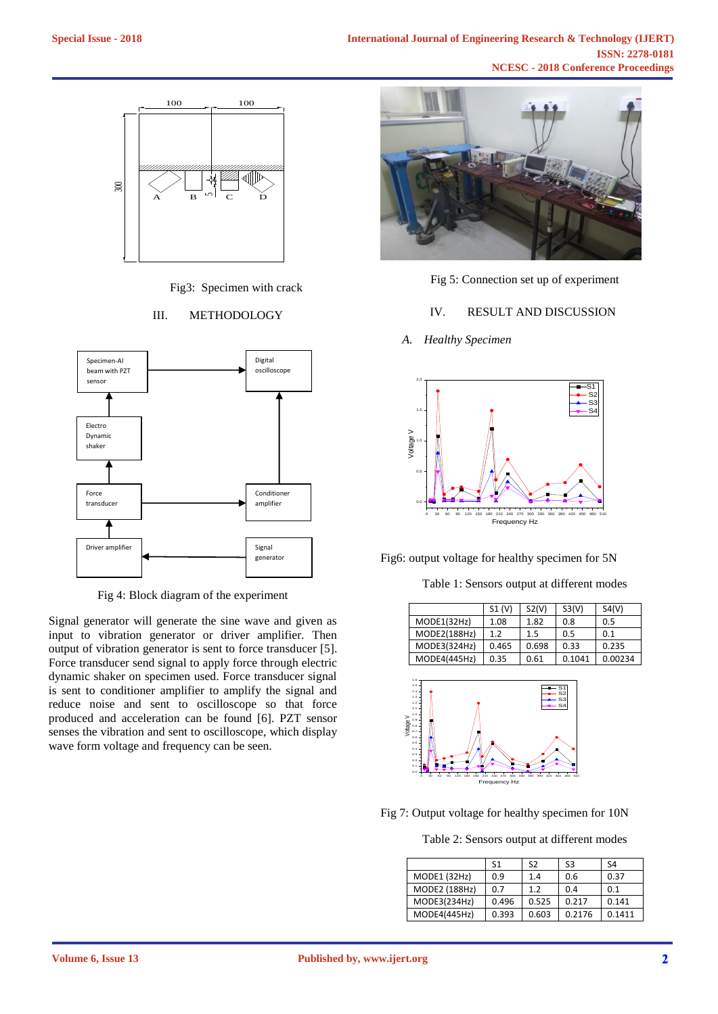

Fig3: Specimen with crack

# III. METHODOLOGY



Fig 4: Block diagram of the experiment

Signal generator will generate the sine wave and given as input to vibration generator or driver amplifier. Then output of vibration generator is sent to force transducer [5]. Force transducer send signal to apply force through electric dynamic shaker on specimen used. Force transducer signal is sent to conditioner amplifier to amplify the signal and reduce noise and sent to oscilloscope so that force produced and acceleration can be found [6]. PZT sensor senses the vibration and sent to oscilloscope, which display wave form voltage and frequency can be seen.



Fig 5: Connection set up of experiment

## IV. RESULT AND DISCUSSION

*A. Healthy Specimen*



Fig6: output voltage for healthy specimen for 5N

Table 1: Sensors output at different modes

|              | S1(V) | S2(V) | S3(V)  | S4(V)   |
|--------------|-------|-------|--------|---------|
| MODE1(32Hz)  | 1.08  | 1.82  | 0.8    | 0.5     |
| MODE2(188Hz) | 1.2   | 1.5   | 0.5    | 0.1     |
| MODE3(324Hz) | 0.465 | 0.698 | 0.33   | 0.235   |
| MODE4(445Hz) | 0.35  | 0.61  | 0.1041 | 0.00234 |



Fig 7: Output voltage for healthy specimen for 10N

Table 2: Sensors output at different modes

|               | S <sub>1</sub> | S <sub>2</sub> | S3     | S4     |
|---------------|----------------|----------------|--------|--------|
| MODE1 (32Hz)  | 0.9            | 1.4            | 0.6    | 0.37   |
| MODE2 (188Hz) | 0.7            | 1.2            | 0.4    | 0.1    |
| MODE3(234Hz)  | 0.496          | 0.525          | 0.217  | 0.141  |
| MODE4(445Hz)  | 0.393          | 0.603          | 0.2176 | 0.1411 |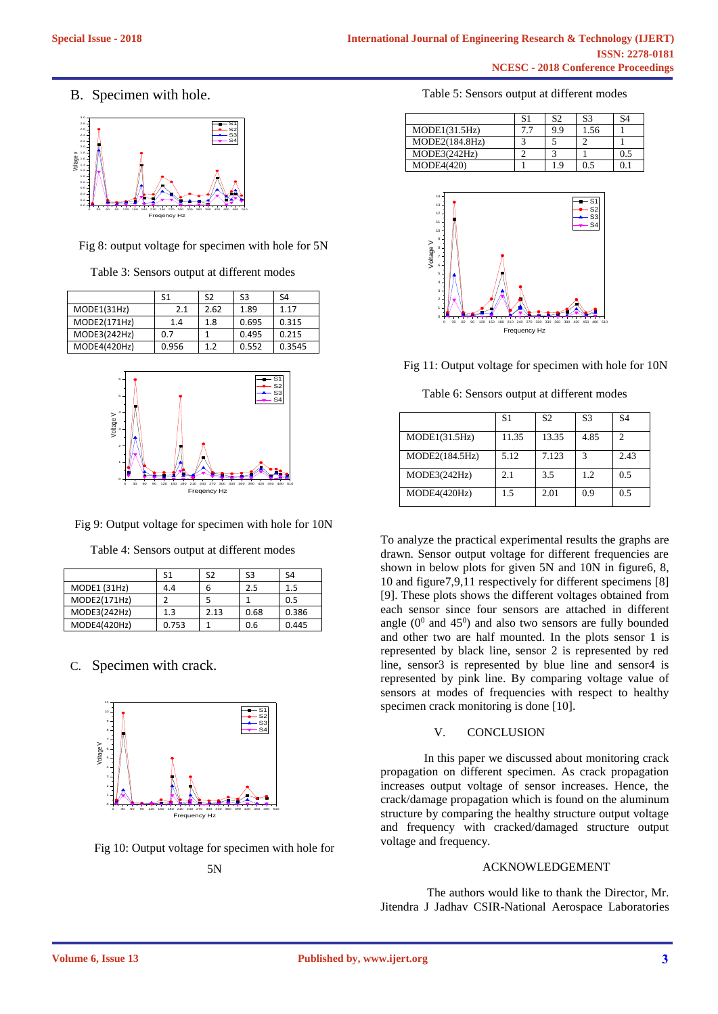B. Specimen with hole.



Fig 8: output voltage for specimen with hole for 5N

Table 3: Sensors output at different modes

|              | S1    | S2   | S3    | S4     |
|--------------|-------|------|-------|--------|
| MODE1(31Hz)  | 2.1   | 2.62 | 1.89  | 1.17   |
| MODE2(171Hz) | 1.4   | 1.8  | 0.695 | 0.315  |
| MODE3(242Hz) | 0.7   |      | 0.495 | 0.215  |
| MODE4(420Hz) | 0.956 | 12   | 0.552 | 0.3545 |



Fig 9: Output voltage for specimen with hole for 10N

Table 4: Sensors output at different modes

|              | S1    | S2   | S3   | S4    |
|--------------|-------|------|------|-------|
| MODE1 (31Hz) | 4.4   |      | 2.5  | 1.5   |
| MODE2(171Hz) |       |      |      | 0.5   |
| MODE3(242Hz) | 1.3   | 2.13 | 0.68 | 0.386 |
| MODE4(420Hz) | 0.753 |      | 0.6  | 0.445 |

C. Specimen with crack.



Fig 10: Output voltage for specimen with hole for 5N

| Table 5: Sensors output at different modes |  |  |  |
|--------------------------------------------|--|--|--|
|--------------------------------------------|--|--|--|

|                   | S1 | S2  | S <sub>3</sub> | S4  |
|-------------------|----|-----|----------------|-----|
| MODE1(31.5Hz)     |    | 9.9 | 1.56           |     |
| MODE2(184.8Hz)    |    |     |                |     |
| MODE3(242Hz)      |    |     |                | 0.5 |
| <b>MODE4(420)</b> |    | 1.9 | 0.5            |     |





Table 6: Sensors output at different modes

|                | S <sub>1</sub> | S <sub>2</sub> | S3   | S4                          |
|----------------|----------------|----------------|------|-----------------------------|
| MODE1(31.5Hz)  | 11.35          | 13.35          | 4.85 | $\mathcal{D}_{\mathcal{L}}$ |
| MODE2(184.5Hz) | 5.12           | 7.123          | 3    | 2.43                        |
| MODE3(242Hz)   | 2.1            | 3.5            | 12   | 0.5                         |
| MODE4(420Hz)   | 1.5            | 2.01           | 0.9  | 0.5                         |

To analyze the practical experimental results the graphs are drawn. Sensor output voltage for different frequencies are shown in below plots for given 5N and 10N in figure6, 8, 10 and figure7,9,11 respectively for different specimens [8] [9]. These plots shows the different voltages obtained from each sensor since four sensors are attached in different angle  $(0^0$  and  $45^0)$  and also two sensors are fully bounded and other two are half mounted. In the plots sensor 1 is represented by black line, sensor 2 is represented by red line, sensor3 is represented by blue line and sensor4 is represented by pink line. By comparing voltage value of sensors at modes of frequencies with respect to healthy specimen crack monitoring is done [10].

## V. CONCLUSION

In this paper we discussed about monitoring crack propagation on different specimen. As crack propagation increases output voltage of sensor increases. Hence, the crack/damage propagation which is found on the aluminum structure by comparing the healthy structure output voltage and frequency with cracked/damaged structure output voltage and frequency.

## ACKNOWLEDGEMENT

The authors would like to thank the Director, Mr. Jitendra J Jadhav CSIR-National Aerospace Laboratories